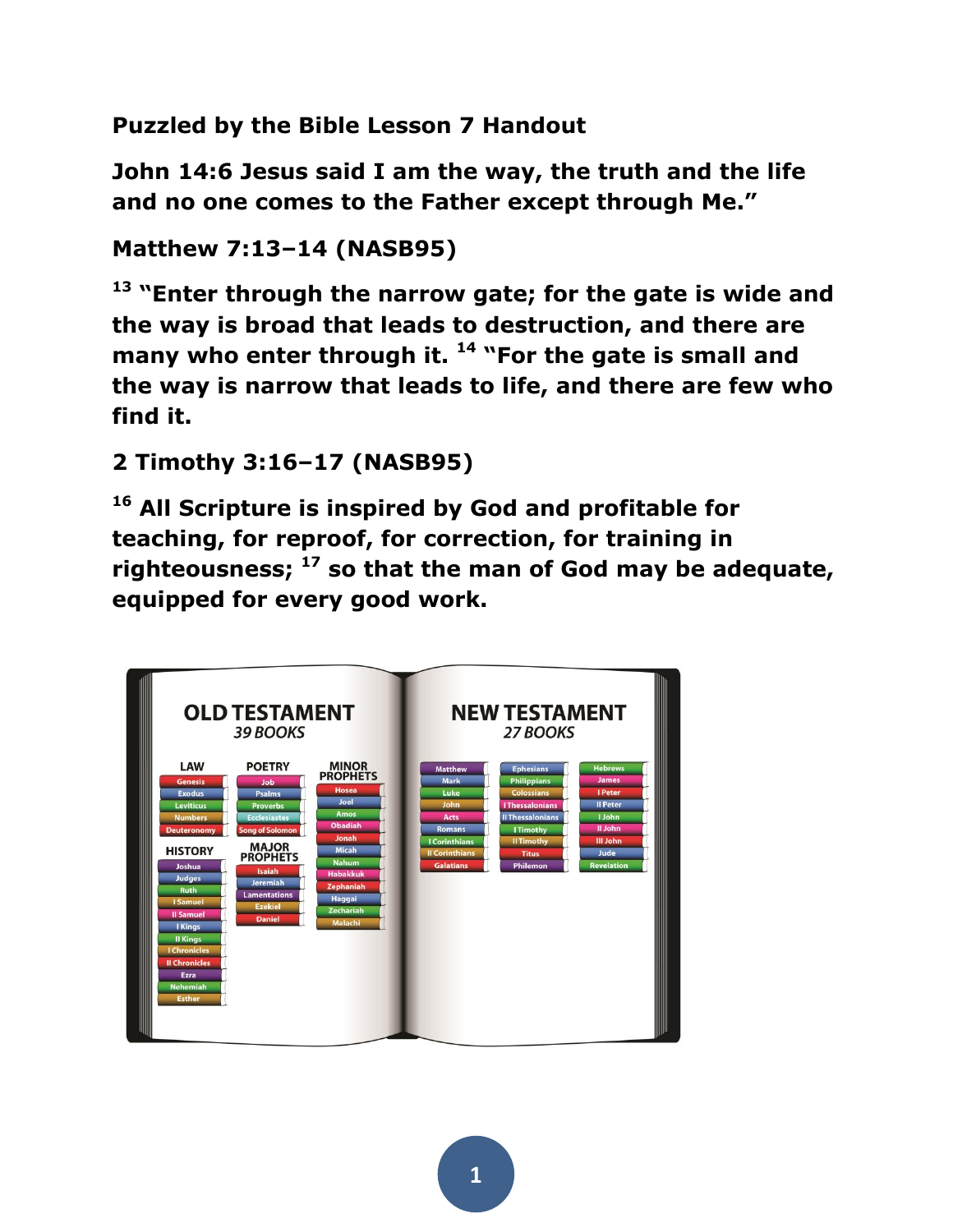**Puzzled by the Bible Lesson 7 Handout**

**John 14:6 Jesus said I am the way, the truth and the life and no one comes to the Father except through Me."**

# **Matthew 7:13–14 (NASB95)**

**<sup>13</sup> "Enter through the narrow gate; for the gate is wide and the way is broad that leads to destruction, and there are many who enter through it. <sup>14</sup> "For the gate is small and the way is narrow that leads to life, and there are few who find it.** 

# **2 Timothy 3:16–17 (NASB95)**

**<sup>16</sup> All Scripture is inspired by God and profitable for teaching, for reproof, for correction, for training in righteousness; <sup>17</sup> so that the man of God may be adequate, equipped for every good work.**

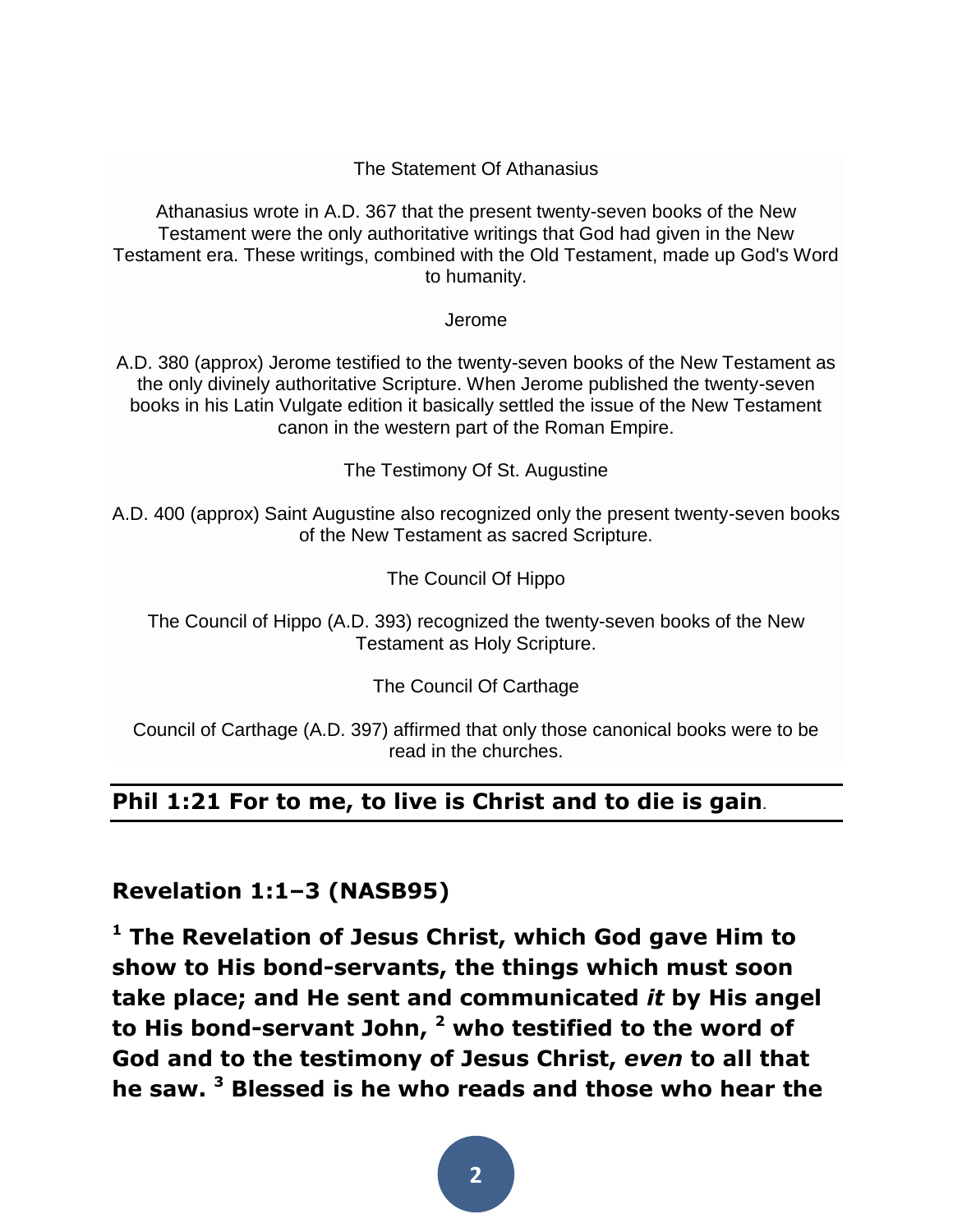The Statement Of Athanasius

Athanasius wrote in A.D. 367 that the present twenty-seven books of the New Testament were the only authoritative writings that God had given in the New Testament era. These writings, combined with the Old Testament, made up God's Word to humanity.

Jerome

A.D. 380 (approx) Jerome testified to the twenty-seven books of the New Testament as the only divinely authoritative Scripture. When Jerome published the twenty-seven books in his Latin Vulgate edition it basically settled the issue of the New Testament canon in the western part of the Roman Empire.

The Testimony Of St. Augustine

A.D. 400 (approx) Saint Augustine also recognized only the present twenty-seven books of the New Testament as sacred Scripture.

The Council Of Hippo

The Council of Hippo (A.D. 393) recognized the twenty-seven books of the New Testament as Holy Scripture.

The Council Of Carthage

Council of Carthage (A.D. 397) affirmed that only those canonical books were to be read in the churches.

#### **Phil 1:21 For to me, to live is Christ and to die is gain**.

**Revelation 1:1–3 (NASB95)** 

**<sup>1</sup> The Revelation of Jesus Christ, which God gave Him to show to His bond-servants, the things which must soon take place; and He sent and communicated** *it* **by His angel to His bond-servant John, <sup>2</sup> who testified to the word of God and to the testimony of Jesus Christ,** *even* **to all that he saw. <sup>3</sup> Blessed is he who reads and those who hear the**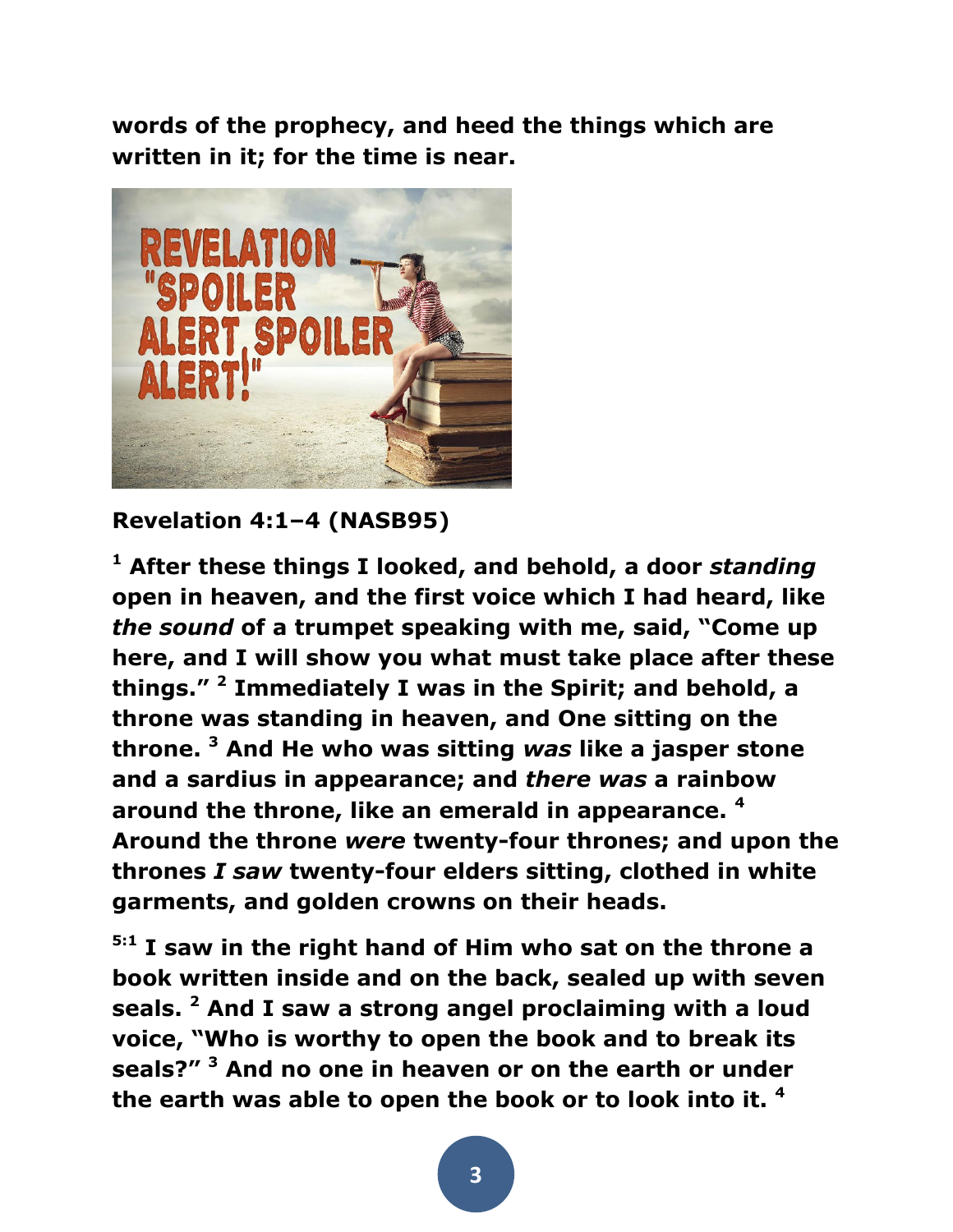**words of the prophecy, and heed the things which are written in it; for the time is near.** 



**Revelation 4:1–4 (NASB95)** 

**<sup>1</sup> After these things I looked, and behold, a door** *standing* **open in heaven, and the first voice which I had heard, like**  *the sound* **of a trumpet speaking with me, said, "Come up here, and I will show you what must take place after these things." <sup>2</sup> Immediately I was in the Spirit; and behold, a throne was standing in heaven, and One sitting on the throne. <sup>3</sup> And He who was sitting** *was* **like a jasper stone and a sardius in appearance; and** *there was* **a rainbow around the throne, like an emerald in appearance. <sup>4</sup> Around the throne** *were* **twenty-four thrones; and upon the thrones** *I saw* **twenty-four elders sitting, clothed in white garments, and golden crowns on their heads.** 

**5:1 I saw in the right hand of Him who sat on the throne a book written inside and on the back, sealed up with seven seals. <sup>2</sup> And I saw a strong angel proclaiming with a loud voice, "Who is worthy to open the book and to break its seals?" <sup>3</sup> And no one in heaven or on the earth or under the earth was able to open the book or to look into it. <sup>4</sup>**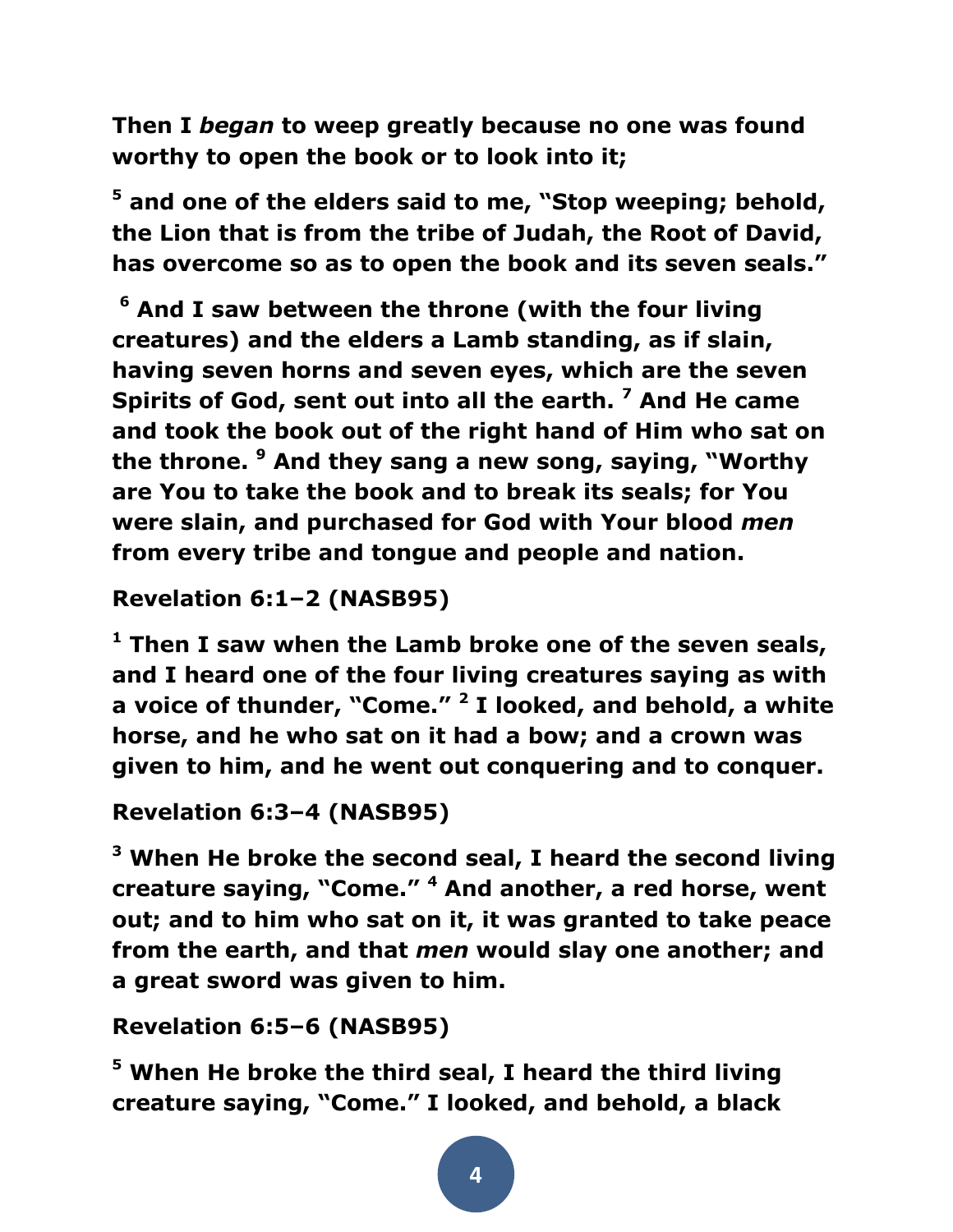**Then I** *began* **to weep greatly because no one was found worthy to open the book or to look into it;** 

**<sup>5</sup> and one of the elders said to me, "Stop weeping; behold, the Lion that is from the tribe of Judah, the Root of David, has overcome so as to open the book and its seven seals."**

**<sup>6</sup> And I saw between the throne (with the four living creatures) and the elders a Lamb standing, as if slain, having seven horns and seven eyes, which are the seven Spirits of God, sent out into all the earth. <sup>7</sup> And He came and took the book out of the right hand of Him who sat on the throne. <sup>9</sup> And they sang a new song, saying, "Worthy are You to take the book and to break its seals; for You were slain, and purchased for God with Your blood** *men* **from every tribe and tongue and people and nation.** 

# **Revelation 6:1–2 (NASB95)**

**<sup>1</sup> Then I saw when the Lamb broke one of the seven seals, and I heard one of the four living creatures saying as with a voice of thunder, "Come." <sup>2</sup> I looked, and behold, a white horse, and he who sat on it had a bow; and a crown was given to him, and he went out conquering and to conquer.** 

## **Revelation 6:3–4 (NASB95)**

**<sup>3</sup> When He broke the second seal, I heard the second living creature saying, "Come." <sup>4</sup> And another, a red horse, went out; and to him who sat on it, it was granted to take peace from the earth, and that** *men* **would slay one another; and a great sword was given to him.** 

#### **Revelation 6:5–6 (NASB95)**

**<sup>5</sup> When He broke the third seal, I heard the third living creature saying, "Come." I looked, and behold, a black**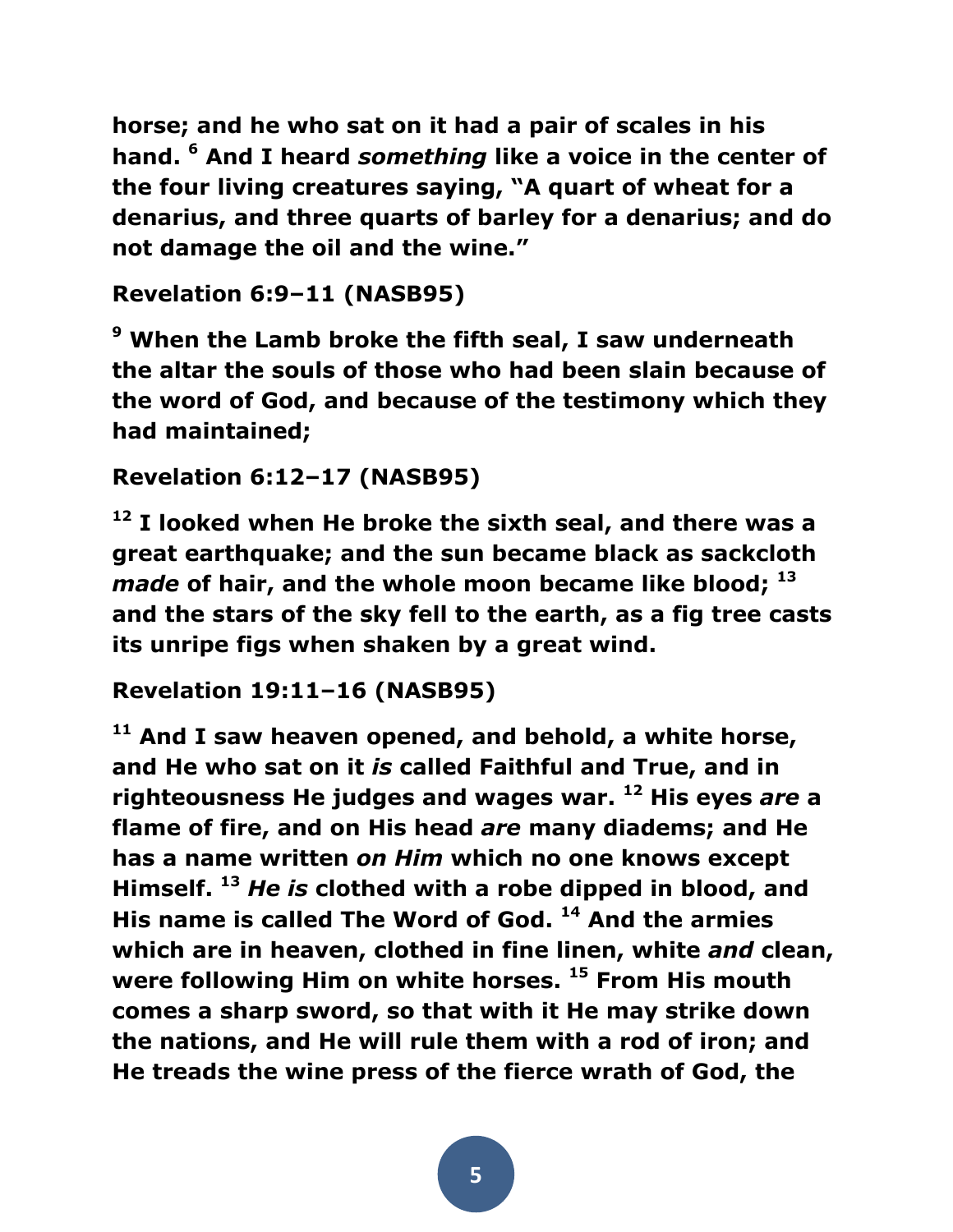**horse; and he who sat on it had a pair of scales in his hand. <sup>6</sup> And I heard** *something* **like a voice in the center of the four living creatures saying, "A quart of wheat for a denarius, and three quarts of barley for a denarius; and do not damage the oil and the wine."** 

## **Revelation 6:9–11 (NASB95)**

**<sup>9</sup> When the Lamb broke the fifth seal, I saw underneath the altar the souls of those who had been slain because of the word of God, and because of the testimony which they had maintained;** 

# **Revelation 6:12–17 (NASB95)**

**<sup>12</sup> I looked when He broke the sixth seal, and there was a great earthquake; and the sun became black as sackcloth**  *made* **of hair, and the whole moon became like blood; <sup>13</sup> and the stars of the sky fell to the earth, as a fig tree casts its unripe figs when shaken by a great wind.** 

## **Revelation 19:11–16 (NASB95)**

**<sup>11</sup> And I saw heaven opened, and behold, a white horse, and He who sat on it** *is* **called Faithful and True, and in righteousness He judges and wages war. <sup>12</sup> His eyes** *are* **a flame of fire, and on His head** *are* **many diadems; and He has a name written** *on Him* **which no one knows except Himself. <sup>13</sup>** *He is* **clothed with a robe dipped in blood, and His name is called The Word of God. <sup>14</sup> And the armies which are in heaven, clothed in fine linen, white** *and* **clean, were following Him on white horses. <sup>15</sup> From His mouth comes a sharp sword, so that with it He may strike down the nations, and He will rule them with a rod of iron; and He treads the wine press of the fierce wrath of God, the**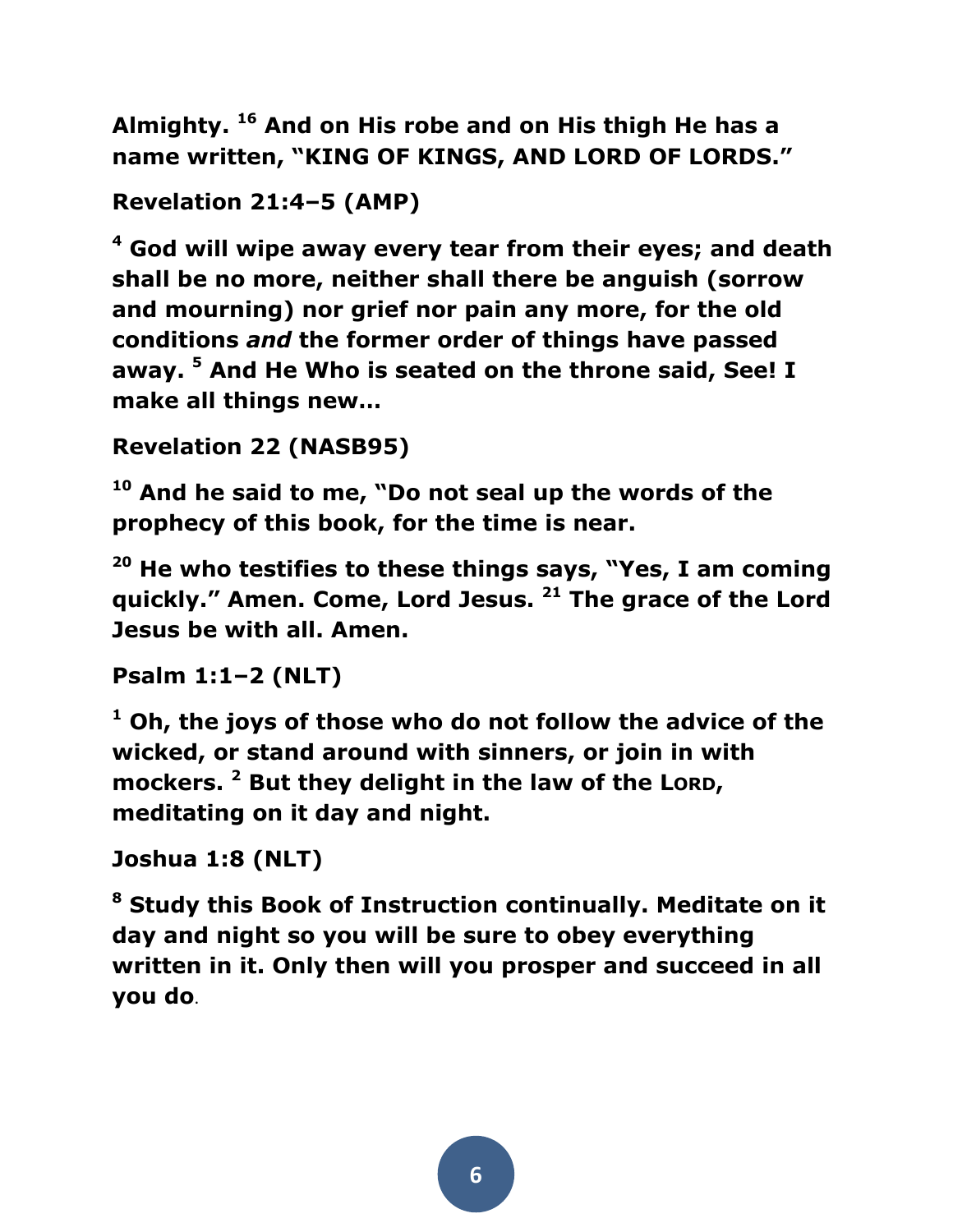**Almighty. <sup>16</sup> And on His robe and on His thigh He has a name written, "KING OF KINGS, AND LORD OF LORDS."**

```
Revelation 21:4–5 (AMP)
```
**<sup>4</sup> God will wipe away every tear from their eyes; and death shall be no more, neither shall there be anguish (sorrow and mourning) nor grief nor pain any more, for the old conditions** *and* **the former order of things have passed away. <sup>5</sup> And He Who is seated on the throne said, See! I make all things new…** 

```
Revelation 22 (NASB95)
```
**<sup>10</sup> And he said to me, "Do not seal up the words of the prophecy of this book, for the time is near.** 

**<sup>20</sup> He who testifies to these things says, "Yes, I am coming quickly." Amen. Come, Lord Jesus. <sup>21</sup> The grace of the Lord Jesus be with all. Amen.** 

**Psalm 1:1–2 (NLT)** 

**<sup>1</sup> Oh, the joys of those who do not follow the advice of the wicked, or stand around with sinners, or join in with mockers. <sup>2</sup> But they delight in the law of the LORD, meditating on it day and night.** 

```
Joshua 1:8 (NLT)
```
**<sup>8</sup> Study this Book of Instruction continually. Meditate on it day and night so you will be sure to obey everything written in it. Only then will you prosper and succeed in all you do**.